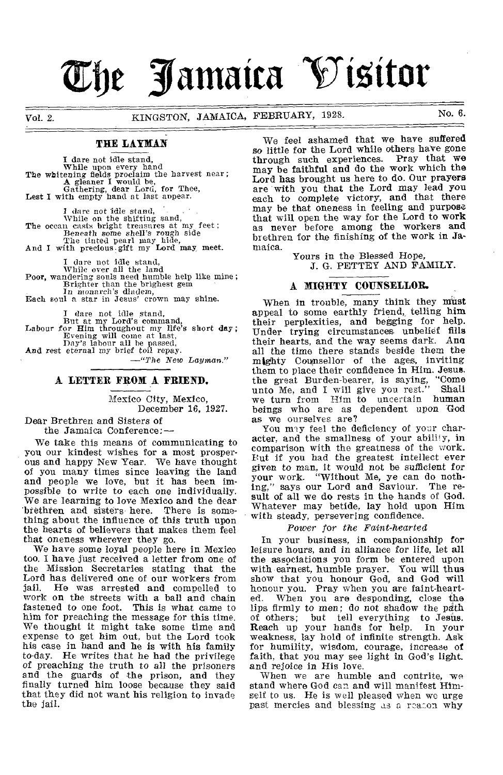# **Zbe Jamaica Vi5itor**

Vol. 2. KINGSTON, JAMAICA, FEBRUARY, 1928. No. 6.

# THE LAYMAN

I dare not idle stand, While upon every hand The whitening fields proclaim the harvest near; A gleaner I would be,<br>
Gathering, dear Lord, for Thee,<br>
Lest I with empty hand at last anpear.

I dare not idle stand,<br>While on the shifting sand,<br>The ocean casts bright treasures at my feet;<br>Beneath some shell's rough side

The tinted pearl may hide,<br>And I with precious gift my Lord may meet.

I dare not idle stand, While over all the land Poor, wandering souls need humble help like mine; Brighter than the brighest gem

In monarch's diadem, Each soul a star in Jesus' crown may shine.

I dare not idle stand, But at my Lord's command, Labour for Him throughout my life's short day; Evening will come at last, Day's labour all be passed,<br>And rest eternal my brief toil repay.

*—"The New* Layman."

# A LETTER FROM A FRIEND.

Mexico City, Mexico, December 16, 1927.

Dear Brethren and Sisters of the Jamaica Conference:—

We take this means of communicating to you our kindest wishes for a most prosperous and happy New Year. We have thought of you many times since leaving the land and people we love, but it has been impossible to write to each one individually. We are learning to love Mexico and the dear brethren and sisters here. There is something about the influence of this truth upon the hearts of believers that makes them feel that oneness wherever they go.

We have some loyal people here in Mexico too. I have just received a letter from one of Mission Secretaries stating that the Lord has delivered one of our workers from<br>
iail. He was arrested and compelled to He was arrested and compelled to work on the streets with a ball and chain fastened to one foot. This is what came to him for preaching the message for this time. We thought it might take some time and expense to get him out, but the Lord took his case in hand and he is with his family to-day. He writes that he had the privilege of preaching the truth to all the prisoners and the guards of the prison, and they finally turned him loose because they said that they did not want his religion to invade the jail.

We feel ashamed that we have suffered so little for the Lord while others have gone<br>through such experiences. Pray that we through such experiences. may be faithful and do the work which the Lord has brought us here to do. Our prayers are with you that the Lord may lead you each to complete victory, and that there may be that oneness in feeling and purpose that will open the way for the Lord to work as never before among the workers and brethren for the finishing of the work in Jamaica.

> Yours in the Blessed Hope, J. G. PETTEY AND FAMILY.

# A MIGHTY COUNSELLOR.

When in trouble, many think they must appeal to some earthly friend, telling him their perplexities, and begging for help. Under trying circumstances, unbelief fills their hearts, and the way seems dark. Ana all the time there stands beside them the mighty Counsellor of the ages, inviting them to place their confidence in Him. Jesus, the great Burden-bearer, is saying, "Come unto Me, and I will give you rest." we turn from Him to uncertain human beings who are as dependent upon God as we ourselves are?

You may feel the deficiency of your character, and the smallness of your ability, in comparison with the greatness of the work. But if you had the greatest intellect ever given to man, it would not be sufficient for your work. "Without Me, ye can do noth-<br>ing." says our Lord and Saviour. The reing," says our Lord and Saviour. sult of all we do rests in the hands of God. Whatever may betide, lay hold upon Him with steady, persevering confidence.

#### *Power for the Faint-hearted*

In your business, in companionship for leisure hours, and in alliance for life, let all the associations you form be entered upon with earnest, humble prayer. You will thus show that you honour God, and God will honour you. Pray when you are faint-heart-<br>ed. When you are desponding close the When you are desponding, close the lips firmly to men; do not shadow the path of others; but tell everything to Jesus. but tell everything to Jesus.<br>your hands for help. In your Reach up your hands for help. weakness, lay hold of infinite strength. Ask for humility, wisdom, courage, increase of faith, that you may see light in God's light. and rejoice in His love.

When we are humble and contrite, we stand where God can and will manifest Himself to us. He is well pleased when we urge past mercies and blessing as a reation why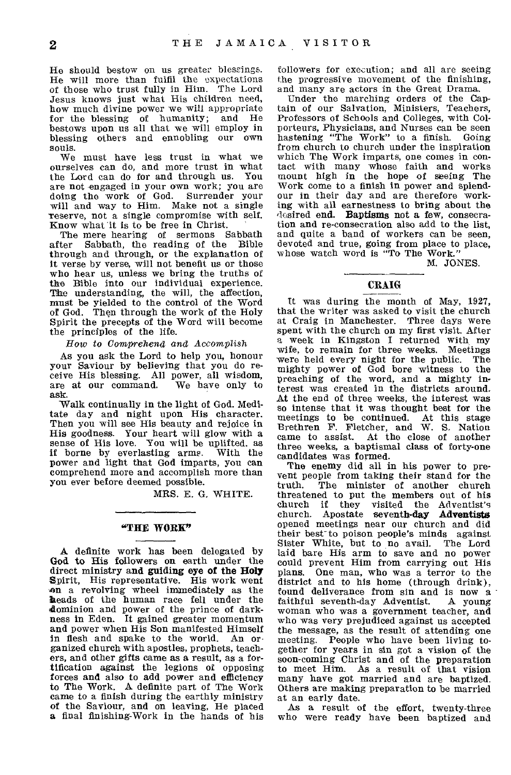He should bestow on us greater blessings. He will more than fulfil the expectations of those who trust fully in Him. The Lord Jesus knows just what His children need, how much divine power we will appropriate for the blessing of humanity; and He bestows upon us all that we will employ in blessing others and ennobling our own souls.

We must have less trust in what we ourselves can do, and more trust in what<br>the Lord can do for and through us. You the Lord can do for and through us. are not engaged in your own work; you are doing the work of God. Surrender your will and way to Him. Make not a single reserve, not a single compromise with self. Know what it is to be free in Christ.

The mere hearing of sermons Sabbath after Sabbath, the reading of the Bible through and through, or the explanation of it verse by verse, will not benefit us or those who hear us, unless we bring the truths of the Bible into our individual experience. The understanding, the will, the affection, must be yielded to the control of the Word of God. Then through the work of the Holy Spirit the precepts of the Word will become the principles of the life.

*How to Comprehend* and *Accomplish* 

As you ask the Lord to help you, honour your Saviour by believing that you do receive His blessing. All power, all wisdom, are at our command. ask.

Walk continually in the light of God. Meditate day and night upon His character. Then you will see His beauty and rejoice in His goodness. Your heart will glow with a sense of His love. You will be uplifted, as<br>if borne by everlasting arms. With the if borne by everlasting arms. power and light that God imparts, you can comprehend more and accomplish more than you ever before deemed possible.

MRS. E. G. WHITE.

#### "THE WORK"

A definite work has been delegated by God to His followers on earth under the direct ministry and guiding **eye of the Holy**  Spirit, His representative. His work went -on a revolving wheel immediately as the heads of the human race fell under the dominion and power of the prince of darkness in Eden. It gained greater momentum and power when His Son manifested Himself in flesh and spake to the world. An organized church with apostles, prophets, teachers, and other gifts came as a result, as a fortification against the legions of opposing forces and also to add power and efficiency to The Work. A definite part of The Work came to a finish during the earthly ministry of the Saviour, and on leaving, He placed a final finishing-Work in the hands of his

followers for execution; and all are seeing the progressive movement of the finishing, and many are actors in the Great Drama.

Under the marching orders of the Captain of our Salvation, Ministers, Teachers, Professors of Schools and Colleges, with Colporteurs, Physicians, and Nurses can be seen<br>hastening "The Work" to a finish. Going hastening "The Work" to a finish. from church to church under the inspiration which The Work imparts, one comes in contact with many whose faith and works mount high in the hope of seeing The Work come to a finish in power and splendour in their day and are therefore working with all earnestness to bring about the desired end. Baptisms not a few, consecration and re-consecration also add to the list, and quite a band of workers can be seen, devoted and true, going from place to place, whose watch word is "To The Work."

M. JONES.

# CRAIG

It was during the month of May, 1927, that the writer was asked to visit the church at Craig in Manchester. Three days were spent with the church on my first visit. After a week in Kingston I returned with my wife, to remain for three weeks. Meetings were held every night for the public. The mighty power of God bore witness to the preaching of the word, and a mighty interest was created in the districts around. At the end of three weeks, the interest was so intense that it was thought best for the meetings to be continued. At this stage Brethren F. Fletcher, and W. S. Nation came to assist. At the close of another three weeks, a baptismal class of forty-one candidates was formed.

The enemy did all in his power to prevent people from taking their stand for the truth. The minister of another church threatened to put the members out of his church if they visited the Adventist's church. Apostate seventh-day **Adventists**  opened meetings near our church and did their best- to poison people's minds against Sister White, but to no avail. The Lord laid bare His arm to save and no power could prevent Him from carrying out His plans. One man, who was a terror to the district and to his home (through drink), found deliverance from sin and is now a faithful seventh-day Adventist. woman who was a government teacher, and who was very prejudiced against us accepted the message, as the result of attending one meeting. People who have been living together for years in sin got a vision of the soon-coming Christ and of the preparation to meet Him. As a result of that vision many have got married and are baptized. Others are making preparation to be married at an early date.

As a result of the effort, twenty-three who were ready have been baptized and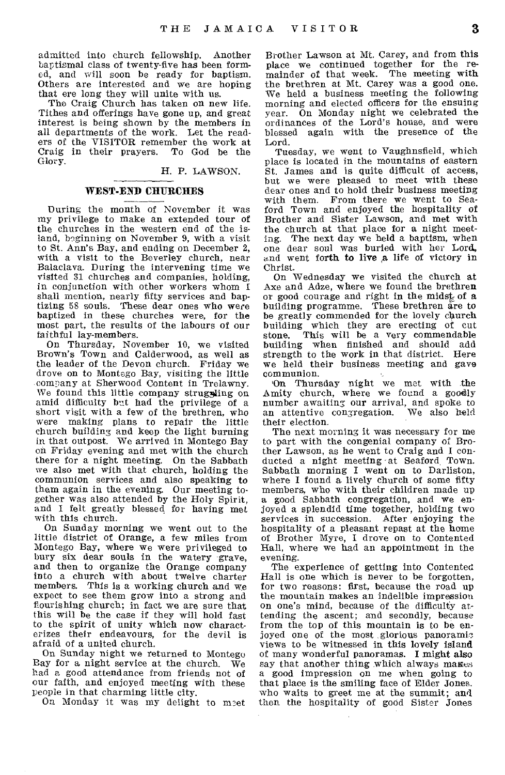admitted into church fellowship. Another baptismal class of twenty-five has been formed, and will soon be ready for baptism. Others are interested and we are hoping that ere long they will unite with us.

The Craig Church has taken on new life. Tithes and offerings have gone up, and great interest is being shown by the members in all departments of the work. Let the readers of the VISITOR remember the work at<br>Craig in their prayers. To God be the Craig in their prayers. Glory.

### H. P. LAWSON.

# WEST-END CHURCHES

During the month of November it was my privilege to make an extended tour of the churches in the western end of the island, beginning on November 9, with a visit to St. Ann's Bay, and ending on December 2, with a visit to the Beverley church, near Balaclava. During the intervening time we visited 31 churches and companies, holding, in conjunction with other workers whom I shall mention, nearly fifty services and baptizing 58 souls. These dear ones who were baptized in these churches were, for the most part, the results of the labours of our faithful lay-members.

On Thursday, November 10, we visited Brown's Town and Calderwood, as well as the leader of the Devon church. Friday we drove on to Montego Bay, visiting the little comeany at Sherwood Content in Trelawny. We found this little company strugnling on amid difficulty but had the privilege of a short visit with a few of the brethren, who were making plans to repair the little church building and keep the light burning in that outpost. We arrived in Montego Bay on Friday evening and met with the church there for a night meeting. On the Sabbath we also met with that church, holding the communion services and also speaking to them again in the evening. Our meeting together was also attended by the Holy Spirit, and I felt greatly blessed for having met with this church.

On Sunday morning we went out to the little district of Orange, a few miles from Montego Bay, where we were privileged to bury six dear souls in the watery grave, and then to organize the Orange company into a church with about twelve charter members. This is a working church and we expect to see them grow into a strong and flourishing church; in fact we are sure that this will be the case if they will hold fast to the spirit of unity which now characterizes their endeavours, for the devil is afraid of a united church.

On Sunday night we returned to Montego Bay for a night service at the church. We had a good attendance from friends not of our faith, and enjoyed meeting with these people in that charming little city.

On Monday it was my delight to m3et

Brother Lawson at Mt. Carey, and from this place we continued together for the remainder of that week. The meeting with the brethren at Mt. Carey was a good one. We held a business meeting the following morning and elected officers for the ensuing year. On Monday night we celebrated the ordinances of the Lord's house, and were blessed again with the presence of the Lord.

Tuesday, we went to Vaughnsfield, which place is located in the mountains of eastern St. James and is quite difficult of access, but we were pleased to meet with these dear ones and to hold their business meeting with them. From there we went to Seaford Town and enjoyed the hospitality of Brother and Sister Lawson, and met with the church at that place for a night meeting. The next day we held a baptism, when one dear soul was buried with her Lord., and went forth to live a life of victory in Christ.

On Wednesday we visited the church at Axe and Adze, where we found the brethren or good courage and right in the midst, of a building programme. These brethren are to be greatly commended for the lovely church building which they are erecting of cut stone. This will be a very commendable building when finished and should add strength to the work in that district. Here we held their business meeting and gave communion.

'On Thursday night we met with the Amity church, where we found a goodly number awaiting our arrival, and spoke to an attentive congregation. We also held their election.

The next morning it was necessary for me to part with the congenial company of Brother Lawson, as he went to Craig and I conducted a night meeting 'at Seaford Town. Sabbath morning I went on to Darliston, where I found a lively church of some fifty members, who with their children made up a good Sabbath congregation, and we enjoyed a splendid time together, holding two services in succession. After enjoying the hospitality of a pleasant repast at the home of Brother Myre, I drove on to Contented Hall, where we had an appointment in the evening.

The experience of getting into Contented Hall is one which is never to be forgotten, for two reasons: first, because the road up the mountain makes an indelible impression on one's mind, because of the difficulty attending the ascent; and secondly, because from the top of this mountain is to be enjoyed one of the most glorious panoramic views to be witnessed in this lovely island of many wonderful panoramas. I might also say that another thing which always makes a good impression on me when going to that place is the smiling face of Elder Jones. who waits to greet me at the summit; and. then the hospitality of good Sister Jones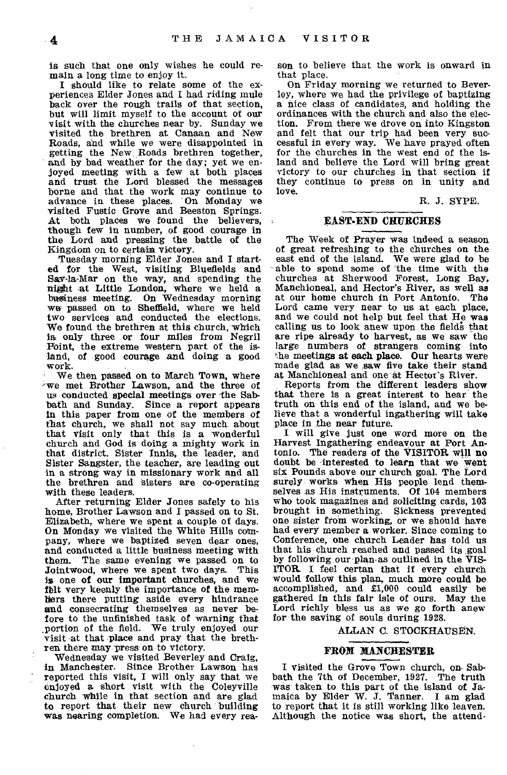is such that one only wishes he could remain a long time to enjoy it.

I should like to relate some of the experiences Elder Jones and I had riding mule back over the rough trails of that section, but will limit myself to the account of our visit with the churches near by. Sunday we visited the brethren at Canaan and New Roads, and while we were disappointed in getting the New Roads brethren together, and by bad weather for the day; yet we enjoyed meeting with a few at both places and trust the Lord blessed the messages borne and that the work may continue to advance in these places. On Monday we visited Fustic Grove and Beeston Springs. At both places we found the believers, though few in number, of good courage in the Lord and pressing the battle of the Kingdom on to certain victory.

Tuesday morning Elder Jones and I started for the West, visiting Bluefields and Sav-la-Mar on the way, and spending the night at Little London, where we held a business meeting. On Wednesday morning we- passed on to Sheffield, where we held two services and conducted the elections. We found the brethren at this church, which is only three or four miles from Negril Point, the extreme western part of the is-land, of good courage and doing a good work.

We then passed on to March Town, where 'we met Brother Lawson, and the three of us conducted special meetings over the Sabbath and Sunday. Since a report appears in this paper from one of the members of that church, we shall not say much about that visit only that this is a wonderful church and God is doing a mighty work in that district. Sister Innis, the leader, and Sister Sangster, the teacher, are leading out in a strong way in missionary work and all the brethren and sisters are co-operating with these leaders.

After returning Elder Jones safely to his home, Brother Lawson and I passed on to St. Elizabeth, where we spent a couple of days. On Monday we visited the White Hills compang, where we baptized seven dear ones, and conducted a little business meeting with them. The same evening we passed on to Jointwood, where we spent two days. This is one of our important churches, and we fblt very keenly the importance of the members there putting aside every hindrance and consecrating themselves as never before to the unfinished task of warning that .portion of the field. We truly enjoyed our visit at that place and pray that the brethren there may press on to victory.

Wednesday we visited Beverley and Craig, in Manchester. Since Brother Lawson has reported this visit, I will only say that we enjoyed a short visit with the Coleyville church while in that section and are glad to report that their new church building was nearing completion. We had every reason to believe that the work is onward in that place.

On Friday morning we returned to Beverley, where we had the privilege of baptizing a nice class of candidates, and holding the ordinances with the church and also the election. From there we drove on into Kingston and felt that our trip had been very successful in every way. We have prayed often for the churches in the west end of the island and believe the Lord will bring great victory to our churches in that section if they continue to press on in unity and love.

R. J. SYPE.

# EAST-END CHURCHES

The Week of Prayer was indeed a season of great refreshing to the churches on the east end of the island. We were glad to be able to spend some of the time with the churches at Sherwood Forest, Long Bay, Manchioneal, and Hector's River, as well as at our home church in Port Antonio. The Lord came very near to us at each place, and we could not help but feel that He was calling us to look anew upon the fields that are ripe already to harvest, as we saw the large numbers of strangers coming into the meetings at each place. Our hearts were made glad as we saw five take their stand at Manchioneal and one at Hector's River.

Reports from the different leaders show that there is a great interest to hear the truth on this end of the island, and we believe that a wonderful ingathering will take place in the near future.

I will give just one word more on the Harvest Ingathering endeavour at Port An-The readers of the VISITOR will no doubt be interested to learn that we went six Pounds above our church goal. The Lord surely works when His people lend themselves as His instruments. Of 104 members who took magazines and soliciting cards, 103 brought in something. Sickness prevented one sister from working, or we should have had every member a worker. Since coming to Conference, one church Leader has told us that his church reached and passed its goal by following, our plan-as outlined in the VIS-ITOR. I feel certan that if every church would follow this plan, much more could be accomplished, and £1,000 could easily be gathered in this, fair isle of ours. May the Lord richly bless us as we go forth anew for the saving of souls during 1928.

# ALLAN C. STOCKHAUSEN.

# FROM MANCHESTER

I visited the Grove Town church, on-Sabbath the 7th of December, 1927. The truth was taken to this part of the island of Jamaica by Elder W. J. Tanner. I am glad to report that it is still working like leaven. Although the notice was short, the attend•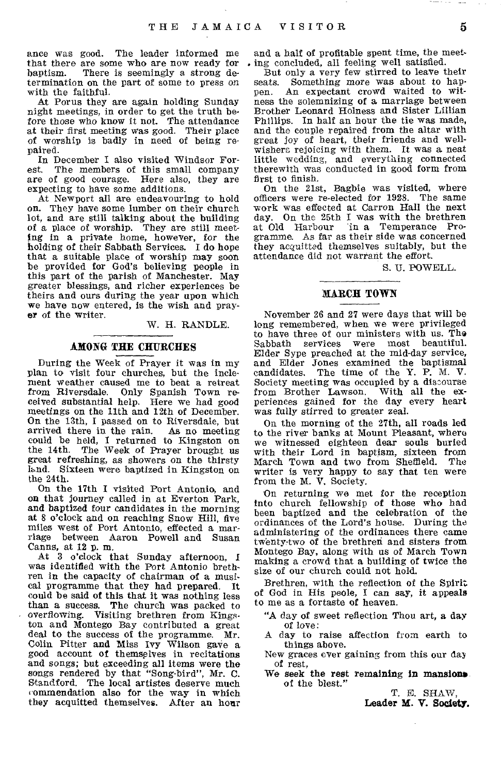ance was good. The leader informed me that there are some who are now ready for<br>baptism. There is seemingly a strong de-There is seemingly a strong determination on the part of some to press on with the faithful.

At Porus they are again holding Sunday night meetings, in order to get the truth before those who know it not. The attendance at their first meeting was good. Their place of worship is badly in need of being repaired.

In December I also visited Windsor For-<br>est. The members of this small company The members of this small company are of good courage. Here also, they are expecting to have some additions.

At Newport all are endeavouring to hold on. They have some lumber on their church lot, and are still talking about the building of a place of worship. They are still meeting in a private home, however, for the holding of their Sabbath Services. I do hope that a suitable place of worship may soon be provided for God's believing people in this part of the parish of Manchester. May greater blessings, and richer experiences be theirs and ours during the year upon which we have now entered, is the wish and prayer of the writer.

W. H. RANDLE.

# AMONG THE CHURCHES

During the Week of Prayer it was in my plan to visit four churches, but the inclement weather caused me to beat a retreat from Riversdale. Only Spanish Town received substantial help. Here we had good meetings on the 11th and 12th of December. On the 13th, I passed on to Riversdale, but<br>arrived there in the rain. As no meeting arrived there in the rain. could be held, I returned to Kingston on the 14th. The Week of Prayer brought us great refreshing, as showers on the thirsty land. Sixteen were baptized in Kingston on the 24th.

On the 17th I visited Port Antonio, and on that journey called in at Everton Park, and baptized four candidates in the morning at 8 o'clock and on reaching Snow Rill, five miles west of Port Antonio, effected a marriage between Aaron Powell and Susan Canns, at 12 p. m.

At 3 o'clock that Sunday afternoon, I was identified with the Port Antonio brethren in the capacity of chairman of a musical programme that they had prepared. It could be said of this that it was nothing less The church was packed to overflowing. Visiting brethren from Kingston and Montego Bay contributed a great deal to the success of the programme. Mr. Colin Pitter and Miss Ivy Wilson gave a good account of themselves in recitations and songs; but exceeding all items were the songs rendered by that "Song-bird", Mr. C. Standford. The local artistes deserve much ( ommendation also for the way in which they acquitted themselves. After an honr

and a half of profitable spent time, the meet- . ing concluded, all feeling well satisfied.

But only a very few stirred to leave their seats. Something more was about to happen. An expectant crowd waited to witness the solemnizing of a marriage between Brother Leonard Holness and Sister Lillian Phillips. In half an hour the tie was made, and the couple repaired from the altar with great joy of heart, their friends and wellwishers rejoicing with them. It was a neat little wedding, and everything connected therewith was conducted in good form from first to finish.

On the 21st, Bagbie was visited, where officers were re-elected for 1928. The same -work was effected at Carron Hall the next day. On the 25th I was with the brethren at Old Harbour in a Temperance Programme. As far as their side was concerned they acquitted themselves suitably, but the attendance did not warrant the effort.

S. U. POWELL.

# MARCH TOWN

November 26 and 27 were days that will be long remembered, when we were privileged to have three of our ministers with us. The Sabbath services were most beautiful. were most beautiful. Elder Sype preached at the mid-day service, and Elder Jones examined the baptismal candidates. The time of the Y. P. M. V. Society meeting was occupied by a discourse from Brother Lawson. With all the experiences gained for the day every heart was fully stirred to greater zeal.

On the morning of the 27th, all roads led to the river banks at Mount Pleasant, where we witnessed eighteen dear souls buried with their Lord in baptism, sixteen from March Town and two from Sheffield. The writer is very happy to say that ten were from the M. V. Society.

On returning we met for the reception into church fellowship of those who had been baptized and the celebration of the ordinances of the Lord's house. During the administering of the ordinances there came twenty-two of the brethren and sisters from Montego Bay, along with us of March Town making a crowd that a building of twice the size of our church could not hold.

Brethren, with the reflection of the Spirit of God in His peole, I can say, it appeals to me as a fortaste of heaven.

"A day of sweet reflection Thou art, a day of love:

A day to raise affection from earth to things above.

New graces ever gaining from this our day of rest,

We *seek* the rest remaining in mansions of the blest."

> T. E. SHAW, **Leader M. V. Society.**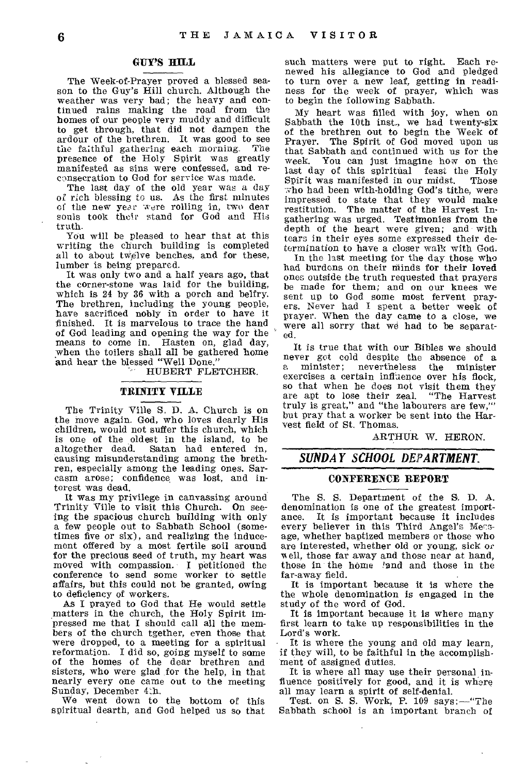# GUY'S HILL

The Week-of-Prayer proved a blessed season to the Guy's Hill church. Although the weather was very bad; the heavy and continued rains making the road from the homes of our people very muddy and difficult to get through, that did not dampen the ardour of the brethren. It was good to see<br>the faithful gathering each morning. The the faithful gathering each morning. presence of the Holy Spirit was greatly manifested as sins were confessed, and recansecration to God for service was made.

The last day of the old year was a day of rich blessing to us. As the first minutes of the new year were rolling in, two dear souls took their stand for God and His truth.

You will be pleased to hear that at this writing the church building is completed all to about twelve benches, and for these, lumber is being prepared.

It was only two and a half years ago, that the corner-stone was laid for the building, which is 24 by 36 with a porch and belfry. The brethren, including the young people, have sacrificed nobly in order to have it finished. It is marvelous to trace the hand of God leading and opening the way for the means to come in. Hasten on, glad day, when the toilers shall all be gathered home and hear the blessed "Well Done."

HUBERT FLETCHER.

#### TRINITY VILLE

The Trinity Ville S. D. A. Church is on the move again. God, who loves dearly His children, would not suffer this church, which is one of the oldest in the island, to be Satan had entered in, causing misunderstanding among the brethren, especially among the leading ones. Sarcasm arose; confidence was lost, and interest was dead.

It was my privilege in canvassing around Trinity Ville to visit this Church. On seeing the spacious church building with only a few people out to Sabbath School (sometimes five or six), and realizing the inducement offered by a most fertile soil around for the precious seed of truth, my heart was moved with compassion. I petitioned the conference to send some worker to settle affairs, but this could not be granted, owing to deficiency of workers.

As I prayed to God that He would settle matters in the church, the Holy Spirit impressed me that I should call all the members of the church tgether, even those that were dropped, to a meeting for a spiritual reformation. I did so, going myself to some of the homes of the dear brethren and sisters, who were glad for the help, in that nearly every one came out to the meeting Sunday, December 4th.

We went down to the bottom of this spiritual dearth, and God helped us so that such matters were put to right. Each renewed his allegiance to God and pledged to turn over a new leaf, getting in readiness for the week of prayer, which was to begin the following Sabbath.

My heart was filled with joy, when on Sabbath the 10th inst., we had twenty-six of the brethren out to begin the Week of Prayer. The Spirit of God moved upon us that Sabbath and continued with us for the week. You can just imagine how on the last day of this spiritual feast the Holy Spirit was manifested in our midst. Those who had been with-holding God's tithe, were impressed to state that they would make restitution. The matter of the Harvest Ingathering was urged. Testimonies from the depth of the heart were given; and with tears in their eyes some expressed their determination to have a closer walk with God.

In the last meeting for the day those who had burdens on their minds for their loved ones outside the truth requested that prayers be made for them; and on our knees we sent up to God some most fervent prayers. Never had I spent a better week of prayer. When the day came to a close, we were all sorry that we had to be separated.

It is true that with our Bibles we should never got cold despite the absence of a a minister; nevertheless the minister exercises a certain influence over his flock, so that when he does not visit them they are apt to lose their zeal. "The Harvest are apt to lose their zeal. truly is great," and "the labourers are few,"' but pray that a worker be sent into the Harvest field of St. Thomas.

ARTHUR W. HERON.

# *SUNDAY SCHOOL DEPARTMENT.*

# CONFERENCE REPORT

The S. S. Department of the S. D. A. denomination is one of the greatest importance. It is important because it includes<br>every believer in this Third Angel's Message, whether baptized members or those who are interested, whether old or young, sick or well, those far away and those near at hand, those in the home 'and and those in the far-away field.

It is important because it is where the the whole denomination is engaged in the study of the word of God.

It is important because it is where many first learn to take up responsibilities in the Lord's work.

It is where the young and old may learn, if they will, to be faithful in the accomplishment of assigned duties.

It is where all may use their personal influence positively for good, and it is where all may learn a spirit of self-denial.

Test. on S. S. Work, P. 109 says:—"The Sabbath school is an important branch of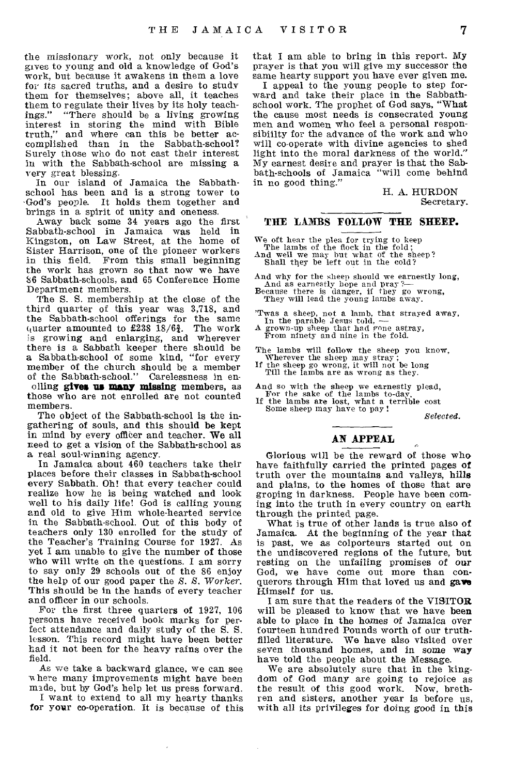the missionary *work,* not only because it gives to young and old a knowledge of God's work, but because it awakens in them a love for its sacred truths, and a desire to study them for themselves; above all, it teaches them to regulate their lives by its holy teachings." "There should be a living growing interest in storing the mind with Bible truth," and where can this be better accomplished than in the Sabbath-school? Surely those who do not cast their interest in with the Sabbath-school are missing a very great blessing.

In our island of Jamaica the Sabbathschool has been and is a strong tower to -God's people. It holds them together and brings in a spirit of unity and oneness.

Away back some 34 years ago the first Sabbath-school in Jamaica was held in Kingston, on Law Street, at the home of Sister Harrison, one of the pioneer workers in this field. From this small beginning the work has grown so that now we have 86 Sabbath-schools, and 65 Conference Home Department members.

The S. S. membership at the close of the third quarter of this year was 3,718, and the Sabbath-school offerings for the same  $quarter$  amounted to £238 18/64. The work is growing and enlarging, and wherever there is a Sabbath keeper there should be a Sabbath-school of some kind, "for every member of the church should be a member of the Sabbath-school." Carelessness in enoiling **gives us many missing** members, as those who are not enrolled are not counted members.

The object of the Sabbath-school is the ingathering of souls, and this should be kept in mind by every officer and teacher. We all need to get a vision of the Sabbath-school as a real soul-winning agency.

In Jamaica about 460 teachers take their places before their classes in Sabbath-school every Sabbath. Oh! that every teacher could realize how he is being watched and look well to his daily life! God is calling young and old to give Him whole-hearted service in the Sabbath-school. Out of this body of teachers only 130 enrolled for the study of the Teacher's Training Course for 1927. As yet I am unable to give the number of those who will write on the questions. **I** am sorry to say only 29 schools out of the 86 enjoy the help of our good paper the *S. S. Worker.*  This should be in the hands of every teacher and officer in our schools.

For the first three quarters of 1927, 106 persons have received book marks for perfect attendance and daily study of the S. S. lesson. This record might have been better had it not been for the heavy rains over the field.

As we take a backward glance, we can see Ix here many improvements might have been made, but by God's help let us press forward.

I want to extend to all my hearty thanks for your co-operation. It is because of this

that I am able to bring in this report. My prayer is that you will give my successor the same hearty support you have ever given me.

I appeal to the young people to step forward and take their place in the Sabbathschool work. The prophet of God says, "What the cause most needs is consecrated young men and women who feel a personal responsibility for the advance of the work and who will co-operate with divine agencies to shed light into the moral darkness of the world." My earnest desire and prayer is that the Sabbath-schools of Jamaica "will come behind in no good thing."

H. A. HURDON Secretary.

#### THE LAMBS FOLLOW THE SHEEP.

We oft hear the plea for trying to keep The lambs of the flock in the fold ; And well we may but what of the sheep? Shall they be left out in the cold?

And why for the sheep should we earnestly long,

And as earnestly hope and pray ?— Because there is danger, if they go wrong, They will lead the young lambs away.

Twas a sheep, not a lamb, that strayed away,<br>In the parable Jesus told, -

A grown-up sheep that had cone astray, From ninety and nine in the fold.

The lambs will follow the sheep you know, Wherever the sheep may stray; If the sheep go wrong, it will not be long Till the lambs are as wrong as they.

And so with the sheep we earnestly plead,<br>For the sake of the lambs to-day.<br>If the lambs are lost, what a terrible cost

Some sheep may have to pay !

*Selected.* 

### AN APPEAL

Glorious will be the reward of those who have faithfully carried the printed pages of truth over the mountains and valleys, hills and plains, to the homes of those that are groping in darkness. People have been coming into the truth in every country on earth through the printed page.

What is true of other lands is true also of Jamaica. At the beginning of the year that is past, we as colporteurs started out on the undiscovered regions of the future, but resting on the unfailing promises of our God, we have come out more than conquerors through Him that loved us and **gave**  Himself for us.

I am sure that the readers of the VISITOR will be pleased to know that we have been able to place in the homes of Jamaica over fourteen hundred Pounds worth of our truth-<br>filled literature. We have also visited over We have also visited over seven thousand homes, and in some way have told the people about the Message.

We are absolutely sure that in the kingdom of God many are *going* to rejoice as the result of this good work. Now, brethren and sisters, another year is before us, with all its privileges for doing good in this